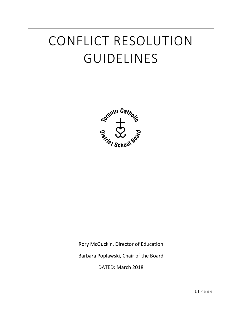# CONFLICT RESOLUTION GUIDELINES



Rory McGuckin, Director of Education

Barbara Poplawski, Chair of the Board

DATED: March 2018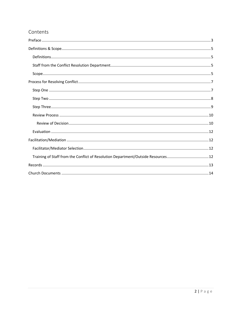# Contents

| Training of Staff from the Conflict of Resolution Department/Outside Resources 12 |  |
|-----------------------------------------------------------------------------------|--|
|                                                                                   |  |
|                                                                                   |  |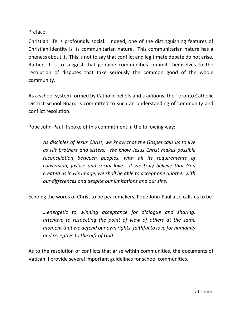# <span id="page-2-0"></span>Preface

Christian life is profoundly social. Indeed, one of the distinguishing features of Christian identity is its communitarian nature. This communitarian nature has a oneness about it. This is not to say that conflict and legitimate debate do not arise. Rather, it is to suggest that genuine communities commit themselves to the resolution of disputes that take seriously the common good of the whole community.

As a school system formed by Catholic beliefs and traditions, the Toronto Catholic District School Board is committed to such an understanding of community and conflict resolution.

Pope John-Paul II spoke of this commitment in the following way:

*As disciples of Jesus Christ, we know that the Gospel calls us to live as His brothers and sisters. We know Jesus Christ makes possible reconciliation between peoples, with all its requirements of conversion, justice and social love. If we truly believe that God created us in His image, we shall be able to accept one another with our differences and despite our limitations and our sins.*

Echoing the words of Christ to be peacemakers, Pope John-Paul also calls us to be

*…energetic to winning acceptance for dialogue and sharing, attentive to respecting the point of view of others at the same moment that we defend our own rights, faithful to love for humanity and receptive to the gift of God.*

As to the resolution of conflicts that arise within communities, the documents of Vatican II provide several important guidelines for school communities.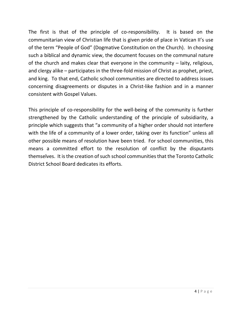The first is that of the principle of co-responsibility. It is based on the communitarian view of Christian life that is given pride of place in Vatican II's use of the term "People of God" (Dogmative Constitution on the Church). In choosing such a biblical and dynamic view, the document focuses on the communal nature of the church and makes clear that everyone in the community – laity, religious, and clergy alike – participates in the three-fold mission of Christ as prophet, priest, and king. To that end, Catholic school communities are directed to address issues concerning disagreements or disputes in a Christ-like fashion and in a manner consistent with Gospel Values.

This principle of co-responsibility for the well-being of the community is further strengthened by the Catholic understanding of the principle of subsidiarity, a principle which suggests that "a community of a higher order should not interfere with the life of a community of a lower order, taking over its function" unless all other possible means of resolution have been tried. For school communities, this means a committed effort to the resolution of conflict by the disputants themselves. It is the creation of such school communities that the Toronto Catholic District School Board dedicates its efforts.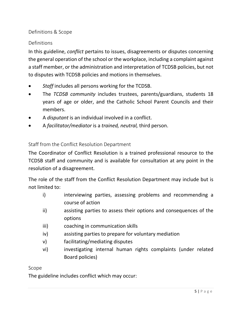# <span id="page-4-0"></span>Definitions & Scope

# <span id="page-4-1"></span>Definitions

In this guideline, *conflict* pertains to issues, disagreements or disputes concerning the general operation of the school or the workplace, including a complaint against a staff member, or the administration and interpretation of TCDSB policies, but not to disputes with TCDSB policies and motions in themselves.

- *Staff* includes all persons working for the TCDSB.
- The *TCDSB community* includes trustees, parents/guardians, students 18 years of age or older, and the Catholic School Parent Councils and their members.
- A *disputant* is an individual involved in a conflict.
- A *facilitator/mediator* is a *trained, neutral,* third person.

#### <span id="page-4-2"></span>Staff from the Conflict Resolution Department

The Coordinator of Conflict Resolution is a trained professional resource to the TCDSB staff and community and is available for consultation at any point in the resolution of a disagreement.

The role of the staff from the Conflict Resolution Department may include but is not limited to:

- i) interviewing parties, assessing problems and recommending a course of action
- ii) assisting parties to assess their options and consequences of the options
- iii) coaching in communication skills
- iv) assisting parties to prepare for voluntary mediation
- v) facilitating/mediating disputes
- vi) investigating internal human rights complaints (under related Board policies)

#### <span id="page-4-3"></span>Scope

The guideline includes conflict which may occur: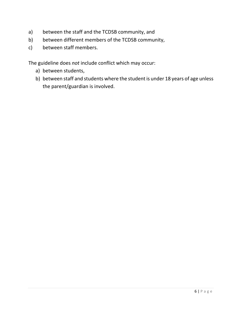- a) between the staff and the TCDSB community, and
- b) between different members of the TCDSB community,
- c) between staff members.

The guideline does *not* include conflict which may occur:

- a) between students,
- b) between staff and students where the student is under 18 years of age unless the parent/guardian is involved.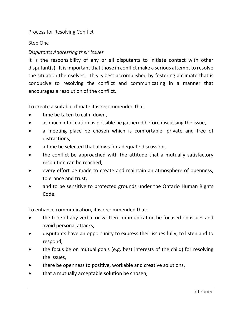<span id="page-6-0"></span>Process for Resolving Conflict

# <span id="page-6-1"></span>Step One

# *Disputants Addressing their Issues*

It is the responsibility of any or all disputants to initiate contact with other disputant(s). It is important that those in conflict make a serious attempt to resolve the situation themselves. This is best accomplished by fostering a climate that is conducive to resolving the conflict and communicating in a manner that encourages a resolution of the conflict.

To create a suitable climate it is recommended that:

- time be taken to calm down,
- as much information as possible be gathered before discussing the issue,
- a meeting place be chosen which is comfortable, private and free of distractions,
- a time be selected that allows for adequate discussion,
- the conflict be approached with the attitude that a mutually satisfactory resolution can be reached,
- every effort be made to create and maintain an atmosphere of openness, tolerance and trust,
- and to be sensitive to protected grounds under the Ontario Human Rights Code.

To enhance communication, it is recommended that:

- the tone of any verbal or written communication be focused on issues and avoid personal attacks,
- disputants have an opportunity to express their issues fully, to listen and to respond,
- the focus be on mutual goals (e.g. best interests of the child) for resolving the issues,
- there be openness to positive, workable and creative solutions,
- that a mutually acceptable solution be chosen,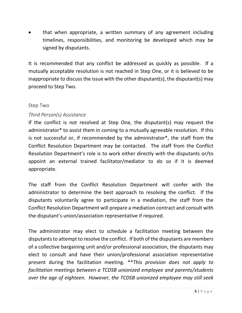• that when appropriate, a written summary of any agreement including timelines, responsibilities, and monitoring be developed which may be signed by disputants.

It is recommended that any conflict be addressed as quickly as possible. If a mutually acceptable resolution is not reached in Step One, or it is believed to be inappropriate to discuss the issue with the other disputant(s), the disputant(s) may proceed to Step Two.

# <span id="page-7-0"></span>Step Two

# *Third Person(s) Assistance*

If the conflict is not resolved at Step One, the disputant(s) may request the administrator\* to assist them in coming to a mutually agreeable resolution. If this is not successful or, if recommended by the administrator\*, the staff from the Conflict Resolution Department may be contacted. The staff from the Conflict Resolution Department's role is to work either directly with the disputants or/to appoint an external trained facilitator/mediator to do so if it is deemed appropriate.

The staff from the Conflict Resolution Department will confer with the administrator to determine the best approach to resolving the conflict. If the disputants voluntarily agree to participate in a mediation, the staff from the Conflict Resolution Department will prepare a mediation contract and consult with the disputant's union/association representative if required.

The administrator may elect to schedule a facilitation meeting between the disputants to attempt to resolve the conflict. If both of the disputants are members of a collective bargaining unit and/or professional association, the disputants may elect to consult and have their union/professional association representative present during the facilitation meeting. \*\**This provision does not apply to facilitation meetings between a TCDSB unionized employee and parents/students over the age of eighteen. However, the TCDSB unionized employee may still seek*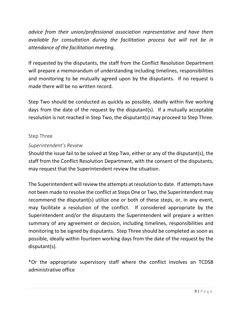*advice from their union/professional association representative and have them available for consultation during the facilitation process but will not be in attendance of the facilitation meeting.* 

If requested by the disputants, the staff from the Conflict Resolution Department will prepare a memorandum of understanding including timelines, responsibilities and monitoring to be mutually agreed upon by the disputants. If no request is made there will be no written record.

Step Two should be conducted as quickly as possible, ideally within five working days from the date of the request by the disputant(s). If a mutually acceptable resolution is not reached in Step Two, the disputant(s) may proceed to Step Three.

# <span id="page-8-0"></span>Step Three

# *Superintendent's Review*

Should the issue fail to be solved at Step Two, either or any of the disputant(s), the staff from the Conflict Resolution Department, with the consent of the disputants, may request that the Superintendent review the situation.

The Superintendent will review the attempts at resolution to date. If attempts have not been made to resolve the conflict at Steps One or Two, the Superintendent may recommend the disputant(s) utilize one or both of these steps, or, in any event, may facilitate a resolution of the conflict. If considered appropriate by the Superintendent and/or the disputants the Superintendent will prepare a written summary of any agreement or decision, including timelines, responsibilities and monitoring to be signed by disputants. Step Three should be completed as soon as possible, ideally within fourteen working days from the date of the request by the disputant(s).

\*Or the appropriate supervisory staff where the conflict involves an TCDSB administrative office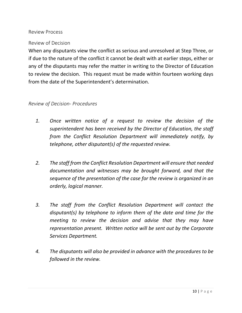#### <span id="page-9-0"></span>Review Process

#### <span id="page-9-1"></span>Review of Decision

When any disputants view the conflict as serious and unresolved at Step Three, or if due to the nature of the conflict it cannot be dealt with at earlier steps, either or any of the disputants may refer the matter in writing to the Director of Education to review the decision. This request must be made within fourteen working days from the date of the Superintendent's determination.

#### *Review of Decision- Procedures*

- *1. Once written notice of a request to review the decision of the superintendent has been received by the Director of Education, the staff from the Conflict Resolution Department will immediately notify, by telephone, other disputant(s) of the requested review.*
- *2. The staff from the Conflict Resolution Department will ensure that needed documentation and witnesses may be brought forward, and that the sequence of the presentation of the case for the review is organized in an orderly, logical manner.*
- *3. The staff from the Conflict Resolution Department will contact the disputant(s) by telephone to inform them of the date and time for the meeting to review the decision and advise that they may have representation present. Written notice will be sent out by the Corporate Services Department.*
- *4. The disputants will also be provided in advance with the procedures to be followed in the review.*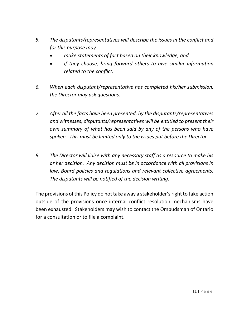- *5. The disputants/representatives will describe the issues in the conflict and for this purpose may*
	- *make statements of fact based on their knowledge, and*
	- *if they choose, bring forward others to give similar information related to the conflict.*
- *6. When each disputant/representative has completed his/her submission, the Director may ask questions.*
- *7. After all the facts have been presented, by the disputants/representatives and witnesses, disputants/representatives will be entitled to present their own summary of what has been said by any of the persons who have spoken. This must be limited only to the issues put before the Director.*
- *8. The Director will liaise with any necessary staff as a resource to make his or her decision. Any decision must be in accordance with all provisions in law, Board policies and regulations and relevant collective agreements. The disputants will be notified of the decision writing.*

The provisions of this Policy do not take away a stakeholder's right to take action outside of the provisions once internal conflict resolution mechanisms have been exhausted. Stakeholders may wish to contact the Ombudsman of Ontario for a consultation or to file a complaint.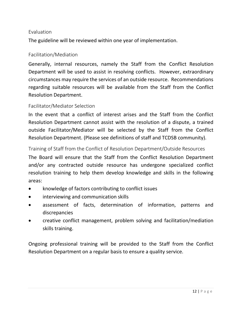#### <span id="page-11-0"></span>Evaluation

The guideline will be reviewed within one year of implementation.

# <span id="page-11-1"></span>Facilitation/Mediation

Generally, internal resources, namely the Staff from the Conflict Resolution Department will be used to assist in resolving conflicts. However, extraordinary circumstances may require the services of an outside resource. Recommendations regarding suitable resources will be available from the Staff from the Conflict Resolution Department.

# <span id="page-11-2"></span>Facilitator/Mediator Selection

In the event that a conflict of interest arises and the Staff from the Conflict Resolution Department cannot assist with the resolution of a dispute, a trained outside Facilitator/Mediator will be selected by the Staff from the Conflict Resolution Department. (Please see definitions of staff and TCDSB community).

<span id="page-11-3"></span>Training of Staff from the Conflict of Resolution Department/Outside Resources

The Board will ensure that the Staff from the Conflict Resolution Department and/or any contracted outside resource has undergone specialized conflict resolution training to help them develop knowledge and skills in the following areas:

- knowledge of factors contributing to conflict issues
- interviewing and communication skills
- assessment of facts, determination of information, patterns and discrepancies
- creative conflict management, problem solving and facilitation/mediation skills training.

Ongoing professional training will be provided to the Staff from the Conflict Resolution Department on a regular basis to ensure a quality service.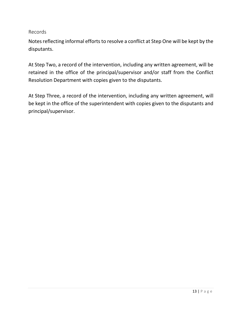<span id="page-12-0"></span>Records

Notes reflecting informal efforts to resolve a conflict at Step One will be kept by the disputants.

At Step Two, a record of the intervention, including any written agreement, will be retained in the office of the principal/supervisor and/or staff from the Conflict Resolution Department with copies given to the disputants.

At Step Three, a record of the intervention, including any written agreement, will be kept in the office of the superintendent with copies given to the disputants and principal/supervisor.